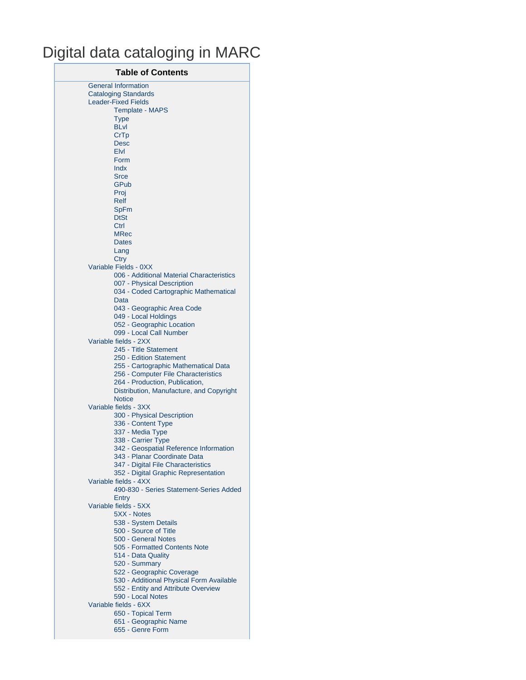# Digital data cataloging in MARC

| <b>Table of Contents</b>                          |
|---------------------------------------------------|
| <b>General Information</b>                        |
| <b>Cataloging Standards</b>                       |
| <b>Leader-Fixed Fields</b>                        |
| <b>Template - MAPS</b>                            |
| <b>Type</b><br><b>BLvl</b>                        |
| CrTp                                              |
| <b>Desc</b>                                       |
| Elvl                                              |
| Form                                              |
| <b>Indx</b>                                       |
| <b>Srce</b>                                       |
| GPub                                              |
| Proj                                              |
| <b>Relf</b>                                       |
| <b>SpFm</b><br><b>DtSt</b>                        |
| Ctrl                                              |
| <b>MRec</b>                                       |
| <b>Dates</b>                                      |
| Lang                                              |
| Ctry                                              |
| Variable Fields - 0XX                             |
| 006 - Additional Material Characteristics         |
| 007 - Physical Description                        |
| 034 - Coded Cartographic Mathematical             |
| Data                                              |
| 043 - Geographic Area Code                        |
| 049 - Local Holdings<br>052 - Geographic Location |
| 099 - Local Call Number                           |
| Variable fields - 2XX                             |
| 245 - Title Statement                             |
| 250 - Edition Statement                           |
| 255 - Cartographic Mathematical Data              |
| 256 - Computer File Characteristics               |
| 264 - Production, Publication,                    |
| Distribution, Manufacture, and Copyright          |
| <b>Notice</b>                                     |
| Variable fields - 3XX                             |
| 300 - Physical Description<br>336 - Content Type  |
| 337 - Media Type                                  |
| 338 - Carrier Type                                |
| 342 - Geospatial Reference Information            |
| 343 - Planar Coordinate Data                      |
| 347 - Digital File Characteristics                |
| 352 - Digital Graphic Representation              |
| Variable fields - 4XX                             |
| 490-830 - Series Statement-Series Added           |
| Entry                                             |
| Variable fields - 5XX                             |
| 5XX - Notes                                       |
| 538 - System Details<br>500 - Source of Title     |
| 500 - General Notes                               |
| 505 - Formatted Contents Note                     |
| 514 - Data Quality                                |
| 520 - Summary                                     |
| 522 - Geographic Coverage                         |
| 530 - Additional Physical Form Available          |
| 552 - Entity and Attribute Overview               |
| 590 - Local Notes                                 |
| Variable fields - 6XX                             |
| 650 - Topical Term                                |
| 651 - Geographic Name                             |
| 655 - Genre Form                                  |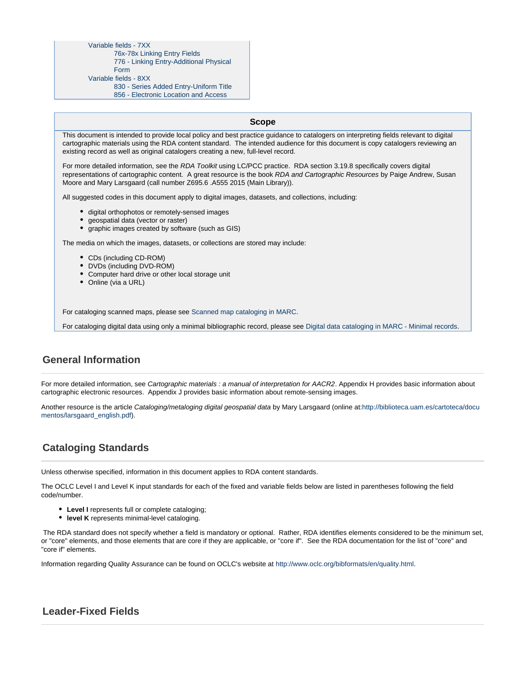#### [Variable fields - 7XX](#page-12-5)

[76x-78x Linking Entry Fields](#page-12-6)

[776 - Linking Entry-Additional Physical](#page-13-0)

[Form](#page-13-0) [Variable fields - 8XX](#page-13-1)

- - [830 Series Added Entry-Uniform Title](#page-13-2)

[856 - Electronic Location and Access](#page-13-3)

#### This document is intended to provide local policy and best practice guidance to catalogers on interpreting fields relevant to digital cartographic materials using the RDA content standard. The intended audience for this document is copy catalogers reviewing an existing record as well as original catalogers creating a new, full-level record.

**Scope**

For more detailed information, see the RDA Toolkit using LC/PCC practice. RDA section 3.19.8 specifically covers digital representations of cartographic content. A great resource is the book RDA and Cartographic Resources by Paige Andrew, Susan Moore and Mary Larsgaard (call number Z695.6 .A555 2015 (Main Library)).

All suggested codes in this document apply to digital images, datasets, and collections, including:

- $\bullet$  digital orthophotos or remotely-sensed images
- geospatial data (vector or raster)
- graphic images created by software (such as GIS)

The media on which the images, datasets, or collections are stored may include:

- CDs (including CD-ROM)
- DVDs (including DVD-ROM)
- Computer hard drive or other local storage unit
- Online (via a URL)

For cataloging scanned maps, please see [Scanned map cataloging in MARC](https://wiki.library.ucsb.edu/display/CMS/Scanned+map+cataloging+in+MARC).

For cataloging digital data using only a minimal bibliographic record, please see [Digital data cataloging in MARC - Minimal records.](https://wiki.library.ucsb.edu/display/CMS/Digital+data+cataloging+in+MARC+-+Minimal+records)

# <span id="page-1-0"></span>**General Information**

For more detailed information, see Cartographic materials : a manual of interpretation for AACR2. Appendix H provides basic information about cartographic electronic resources. Appendix J provides basic information about remote-sensing images.

Another resource is the article Cataloging/metaloging digital geospatial data by Mary Larsgaard (online at:[http://biblioteca.uam.es/cartoteca/docu](http://biblioteca.uam.es/cartoteca/documentos/larsgaard_english.pdf) [mentos/larsgaard\\_english.pdf\)](http://biblioteca.uam.es/cartoteca/documentos/larsgaard_english.pdf).

# <span id="page-1-1"></span>**Cataloging Standards**

Unless otherwise specified, information in this document applies to RDA content standards.

The OCLC Level I and Level K input standards for each of the fixed and variable fields below are listed in parentheses following the field code/number.

- **Level I** represents full or complete cataloging;
- **level K** represents minimal-level cataloging.

The RDA standard does not specify whether a field is mandatory or optional. Rather, RDA identifies elements considered to be the minimum set, or "core" elements, and those elements that are core if they are applicable, or "core if". See the RDA documentation for the list of "core" and "core if" elements.

Information regarding Quality Assurance can be found on OCLC's website at [http://www.oclc.org/bibformats/en/quality.html.](http://www.oclc.org/bibformats/en/quality.html)

# <span id="page-1-2"></span>**Leader-Fixed Fields**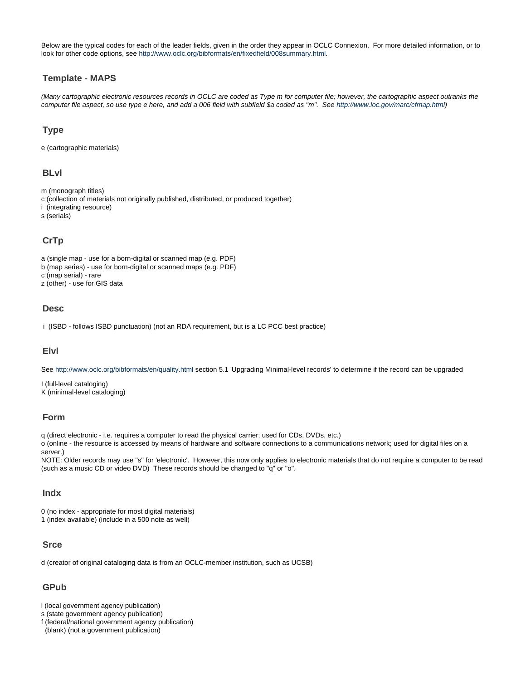Below are the typical codes for each of the leader fields, given in the order they appear in OCLC Connexion. For more detailed information, or to look for other code options, see <http://www.oclc.org/bibformats/en/fixedfield/008summary.html>.

## <span id="page-2-0"></span>**Template - MAPS**

(Many cartographic electronic resources records in OCLC are coded as Type m for computer file; however, the cartographic aspect outranks the computer file aspect, so use type e here, and add a 006 field with subfield \$a coded as "m". See <http://www.loc.gov/marc/cfmap.html>)

## <span id="page-2-1"></span>**Type**

e (cartographic materials)

## <span id="page-2-2"></span>**BLvl**

m (monograph titles)

- c (collection of materials not originally published, distributed, or produced together)
- i (integrating resource)

s (serials)

# <span id="page-2-3"></span>**CrTp**

- a (single map use for a born-digital or scanned map (e.g. PDF)
- b (map series) use for born-digital or scanned maps (e.g. PDF)

c (map serial) - rare

z (other) - use for GIS data

#### <span id="page-2-4"></span>**Desc**

i (ISBD - follows ISBD punctuation) (not an RDA requirement, but is a LC PCC best practice)

#### <span id="page-2-5"></span>**Elvl**

See<http://www.oclc.org/bibformats/en/quality.html> section 5.1 'Upgrading Minimal-level records' to determine if the record can be upgraded

I (full-level cataloging) K (minimal-level cataloging)

## <span id="page-2-6"></span>**Form**

q (direct electronic - i.e. requires a computer to read the physical carrier; used for CDs, DVDs, etc.)

o (online - the resource is accessed by means of hardware and software connections to a communications network; used for digital files on a server.)

NOTE: Older records may use "s" for 'electronic'. However, this now only applies to electronic materials that do not require a computer to be read (such as a music CD or video DVD) These records should be changed to "q" or "o".

## <span id="page-2-7"></span>**Indx**

0 (no index - appropriate for most digital materials)

1 (index available) (include in a 500 note as well)

## <span id="page-2-8"></span>**Srce**

d (creator of original cataloging data is from an OCLC-member institution, such as UCSB)

## <span id="page-2-9"></span>**GPub**

l (local government agency publication)

s (state government agency publication)

f (federal/national government agency publication)

<span id="page-2-10"></span>(blank) (not a government publication)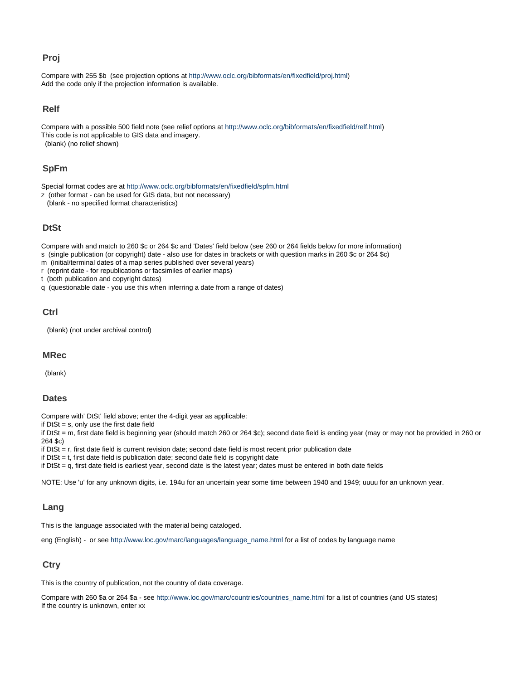## **Proj**

Compare with 255 \$b (see projection options at [http://www.oclc.org/bibformats/en/fixedfield/proj.html\)](http://www.oclc.org/bibformats/en/fixedfield/proj.html) Add the code only if the projection information is available.

## <span id="page-3-0"></span>**Relf**

Compare with a possible 500 field note (see relief options at [http://www.oclc.org/bibformats/en/fixedfield/relf.html\)](http://www.oclc.org/bibformats/en/fixedfield/relf.html) This code is not applicable to GIS data and imagery. (blank) (no relief shown)

## <span id="page-3-1"></span>**SpFm**

Special format codes are at <http://www.oclc.org/bibformats/en/fixedfield/spfm.html>

z (other format - can be used for GIS data, but not necessary)

(blank - no specified format characteristics)

## <span id="page-3-2"></span>**DtSt**

Compare with and match to 260 \$c or 264 \$c and 'Dates' field below (see 260 or 264 fields below for more information)

- s (single publication (or copyright) date also use for dates in brackets or with question marks in 260 \$c or 264 \$c)
- m (initial/terminal dates of a map series published over several years)
- r (reprint date for republications or facsimiles of earlier maps)

t (both publication and copyright dates)

q (questionable date - you use this when inferring a date from a range of dates)

## <span id="page-3-3"></span>**Ctrl**

(blank) (not under archival control)

#### <span id="page-3-4"></span>**MRec**

(blank)

#### <span id="page-3-5"></span>**Dates**

Compare with' DtSt' field above; enter the 4-digit year as applicable:

if  $DtSt = s$ , only use the first date field

if DtSt = m, first date field is beginning year (should match 260 or 264 \$c); second date field is ending year (may or may not be provided in 260 or 264 \$c)

if  $DtSt = r$ , first date field is current revision date; second date field is most recent prior publication date

if  $DtSt = t$ , first date field is publication date; second date field is copyright date

if DtSt = q, first date field is earliest year, second date is the latest year; dates must be entered in both date fields

NOTE: Use 'u' for any unknown digits, i.e. 194u for an uncertain year some time between 1940 and 1949; uuuu for an unknown year.

## <span id="page-3-6"></span>**Lang**

This is the language associated with the material being cataloged.

eng (English) - or see [http://www.loc.gov/marc/languages/language\\_name.html](http://www.loc.gov/marc/languages/language_name.html) for a list of codes by language name

## <span id="page-3-7"></span>**Ctry**

This is the country of publication, not the country of data coverage.

<span id="page-3-8"></span>Compare with 260 \$a or 264 \$a - see [http://www.loc.gov/marc/countries/countries\\_name.html](http://www.loc.gov/marc/countries/countries_name.html) for a list of countries (and US states) If the country is unknown, enter xx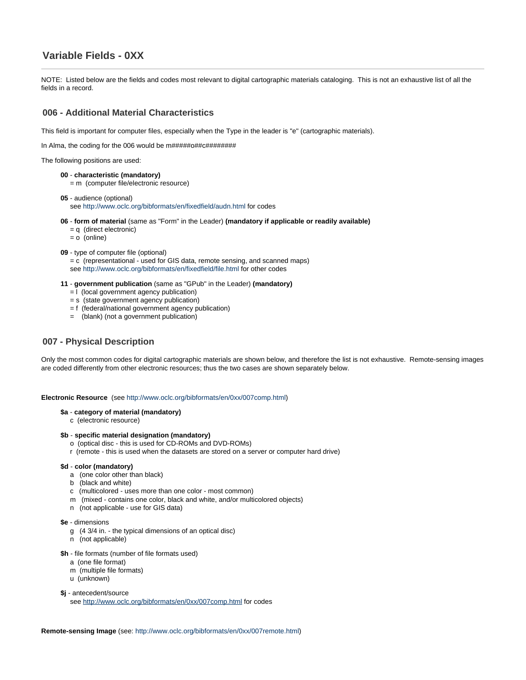# **Variable Fields - 0XX**

NOTE: Listed below are the fields and codes most relevant to digital cartographic materials cataloging. This is not an exhaustive list of all the fields in a record.

## <span id="page-4-0"></span>**006 - Additional Material Characteristics**

This field is important for computer files, especially when the Type in the leader is "e" (cartographic materials).

In Alma, the coding for the 006 would be m#####o##c########

The following positions are used:

**00** - **characteristic (mandatory)**

= m (computer file/electronic resource)

- **05** audience (optional) see <http://www.oclc.org/bibformats/en/fixedfield/audn.html>for codes
- **06 form of material** (same as "Form" in the Leader) **(mandatory if applicable or readily available)**
	- $=$   $\alpha$  (direct electronic)
	- $= 0$  (online)
- **09** type of computer file (optional)
	- = c (representational used for GIS data, remote sensing, and scanned maps) see <http://www.oclc.org/bibformats/en/fixedfield/file.html> for other codes
- **11 government publication** (same as "GPub" in the Leader) **(mandatory)**
	- = l (local government agency publication)
	- = s (state government agency publication)
	- = f (federal/national government agency publication)
	- = (blank) (not a government publication)

#### <span id="page-4-1"></span>**007 - Physical Description**

Only the most common codes for digital cartographic materials are shown below, and therefore the list is not exhaustive. Remote-sensing images are coded differently from other electronic resources; thus the two cases are shown separately below.

#### **Electronic Resource** (see [http://www.oclc.org/bibformats/en/0xx/007comp.html\)](http://www.oclc.org/bibformats/en/0xx/007comp.html)

#### **\$a** - **category of material (mandatory)**

c (electronic resource)

#### **\$b** - **specific material designation (mandatory)**

- o (optical disc this is used for CD-ROMs and DVD-ROMs)
- r (remote this is used when the datasets are stored on a server or computer hard drive)

#### **\$d** - **color (mandatory)**

- a (one color other than black)
- b (black and white)
- c (multicolored uses more than one color most common)
- m (mixed contains one color, black and white, and/or multicolored objects)
- n (not applicable use for GIS data)

#### **\$e** - dimensions

- g (4 3/4 in. the typical dimensions of an optical disc)
- n (not applicable)
- **\$h** file formats (number of file formats used)
	- a (one file format)
	- m (multiple file formats)
	- u (unknown)

#### **\$j** - antecedent/source

see <http://www.oclc.org/bibformats/en/0xx/007comp.html>for codes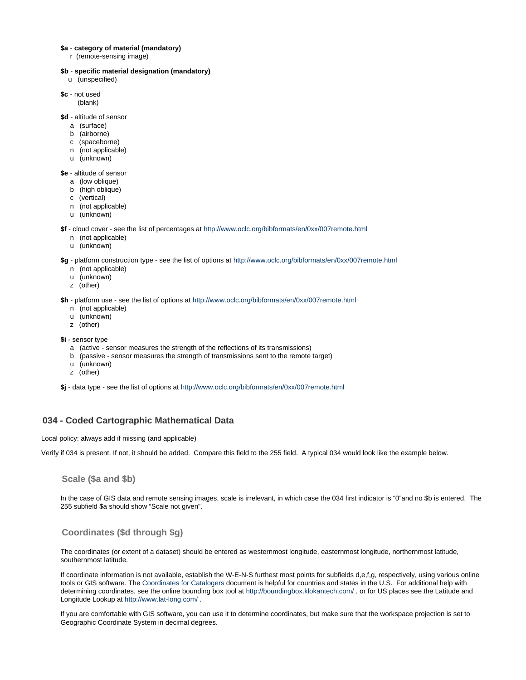#### **\$a** - **category of material (mandatory)**

r (remote-sensing image)

#### **\$b** - **specific material designation (mandatory)**

- u (unspecified)
- **\$c** not used
	- (blank)

**\$d** - altitude of sensor

- a (surface)
- b (airborne)
- c (spaceborne)
- n (not applicable)
- u (unknown)
- **\$e** altitude of sensor
	- a (low oblique)
	- b (high oblique)
	- c (vertical)
	- n (not applicable)
	- u (unknown)

**\$f** - cloud cover - see the list of percentages at<http://www.oclc.org/bibformats/en/0xx/007remote.html>

- n (not applicable)
- u (unknown)

**\$g** - platform construction type - see the list of options at <http://www.oclc.org/bibformats/en/0xx/007remote.html>

- n (not applicable)
- u (unknown)
- z (other)

**\$h** - platform use - see the list of options at<http://www.oclc.org/bibformats/en/0xx/007remote.html>

- n (not applicable)
- u (unknown)
- z (other)
- **\$i** sensor type
	- a (active sensor measures the strength of the reflections of its transmissions)
	- b (passive sensor measures the strength of transmissions sent to the remote target)
	- u (unknown)
	- z (other)

**\$j** - data type - see the list of options at <http://www.oclc.org/bibformats/en/0xx/007remote.html>

## <span id="page-5-0"></span>**034 - Coded Cartographic Mathematical Data**

#### Local policy: always add if missing (and applicable)

Verify if 034 is present. If not, it should be added. Compare this field to the 255 field. A typical 034 would look like the example below.

**Scale (\$a and \$b)**

In the case of GIS data and remote sensing images, scale is irrelevant, in which case the 034 first indicator is "0"and no \$b is entered. The 255 subfield \$a should show "Scale not given".

#### **Coordinates (\$d through \$g)**

The coordinates (or extent of a dataset) should be entered as westernmost longitude, easternmost longitude, northernmost latitude, southernmost latitude.

If coordinate information is not available, establish the W-E-N-S furthest most points for subfields d,e,f,g, respectively, using various online tools or GIS software. The [Coordinates for Catalogers](https://wiki.library.ucsb.edu/download/attachments/12998352/COORDINATES%20FOR%20CATALOGERS.doc?version=1&modificationDate=1413582471000&api=v2) document is helpful for countries and states in the U.S. For additional help with determining coordinates, see the online bounding box tool at<http://boundingbox.klokantech.com/> , or for US places see the Latitude and Longitude Lookup at<http://www.lat-long.com/> .

If you are comfortable with GIS software, you can use it to determine coordinates, but make sure that the workspace projection is set to Geographic Coordinate System in decimal degrees.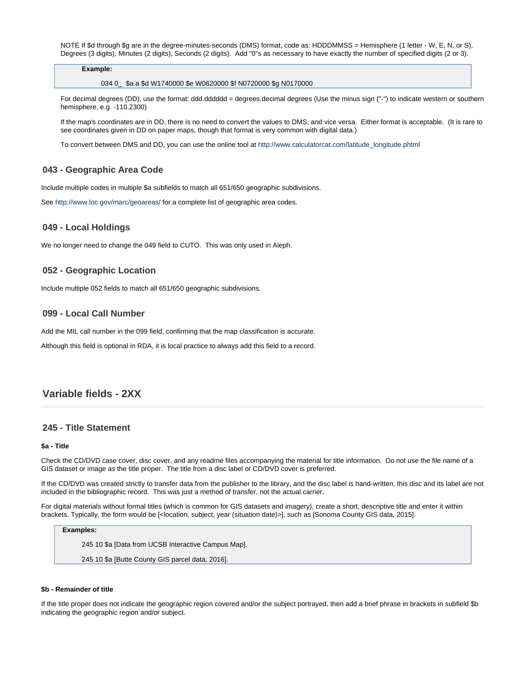NOTE If \$d through \$g are in the degree-minutes-seconds (DMS) format, code as: HDDDMMSS = Hemisphere (1 letter - W, E, N, or S), Degrees (3 digits), Minutes (2 digits), Seconds (2 digits). Add "0"s as necessary to have exactly the number of specified digits (2 or 3).

#### **Example:**

034 0\_ \$a a \$d W1740000 \$e W0620000 \$f N0720000 \$g N0170000

For decimal degrees (DD), use the format: ddd.dddddd = degrees.decimal degrees (Use the minus sign ("-") to indicate western or southern hemisphere, e.g. -110.2300)

If the map's coordinates are in DD, there is no need to convert the values to DMS, and vice versa. Either format is acceptable. (It is rare to see coordinates given in DD on paper maps, though that format is very common with digital data.)

To convert between DMS and DD, you can use the online tool at [http://www.calculatorcat.com/latitude\\_longitude.phtml](http://www.calculatorcat.com/latitude_longitude.phtml)

## <span id="page-6-0"></span>**043 - Geographic Area Code**

Include multiple codes in multiple \$a subfields to match all 651/650 geographic subdivisions.

See<http://www.loc.gov/marc/geoareas/> for a complete list of geographic area codes.

#### <span id="page-6-1"></span>**049 - Local Holdings**

We no longer need to change the 049 field to CUTO. This was only used in Aleph.

#### <span id="page-6-2"></span>**052 - Geographic Location**

Include multiple 052 fields to match all 651/650 geographic subdivisions.

#### <span id="page-6-3"></span>**099 - Local Call Number**

Add the MIL call number in the 099 field, confirming that the map classification is accurate.

Although this field is optional in RDA, it is local practice to always add this field to a record.

# <span id="page-6-4"></span>**Variable fields - 2XX**

#### <span id="page-6-5"></span>**245 - Title Statement**

#### **\$a - Title**

Check the CD/DVD case cover, disc cover, and any readme files accompanying the material for title information. Do not use the file name of a GIS dataset or image as the title proper. The title from a disc label or CD/DVD cover is preferred.

If the CD/DVD was created strictly to transfer data from the publisher to the library, and the disc label is hand-written, this disc and its label are not included in the bibliographic record. This was just a method of transfer, not the actual carrier.

For digital materials without formal titles (which is common for GIS datasets and imagery), create a short, descriptive title and enter it within brackets. Typically, the form would be [<location, subject, year (situation date)>], such as [Sonoma County GIS data, 2015].

#### **Examples:**

245 10 \$a [Data from UCSB Interactive Campus Map].

245 10 \$a [Butte County GIS parcel data, 2016].

#### **\$b - Remainder of title**

<span id="page-6-6"></span>If the title proper does not indicate the geographic region covered and/or the subject portrayed, then add a brief phrase in brackets in subfield \$b indicating the geographic region and/or subject.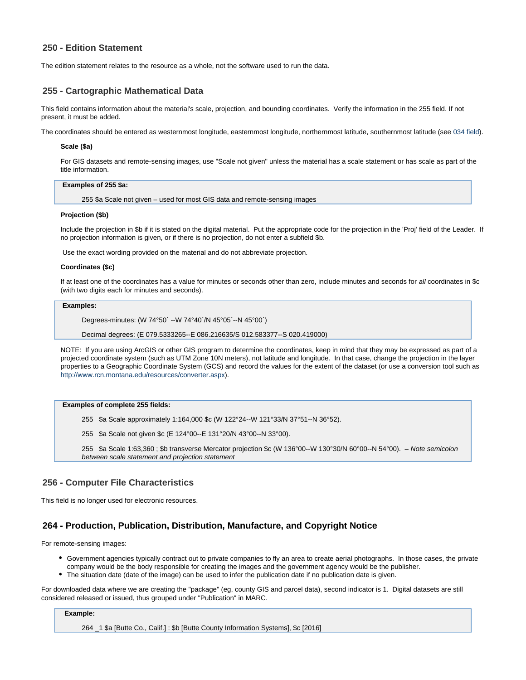## **250 - Edition Statement**

The edition statement relates to the resource as a whole, not the software used to run the data.

#### <span id="page-7-0"></span>**255 - Cartographic Mathematical Data**

This field contains information about the material's scale, projection, and bounding coordinates. Verify the information in the 255 field. If not present, it must be added.

The coordinates should be entered as westernmost longitude, easternmost longitude, northernmost latitude, southernmost latitude (see 034 field).

#### **Scale (\$a)**

For GIS datasets and remote-sensing images, use "Scale not given" unless the material has a scale statement or has scale as part of the title information.

#### **Examples of 255 \$a:**

255 \$a Scale not given – used for most GIS data and remote-sensing images

#### **Projection (\$b)**

Include the projection in \$b if it is stated on the digital material. Put the appropriate code for the projection in the 'Proj' field of the Leader. If no projection information is given, or if there is no projection, do not enter a subfield \$b.

Use the exact wording provided on the material and do not abbreviate projection.

#### **Coordinates (\$c)**

If at least one of the coordinates has a value for minutes or seconds other than zero, include minutes and seconds for all coordinates in \$c (with two digits each for minutes and seconds).

#### **Examples:**

Degrees-minutes: (W 74°50´ --W 74°40´/N 45°05´--N 45°00´)

Decimal degrees: (E 079.5333265--E 086.216635/S 012.583377--S 020.419000)

NOTE: If you are using ArcGIS or other GIS program to determine the coordinates, keep in mind that they may be expressed as part of a projected coordinate system (such as UTM Zone 10N meters), not latitude and longitude. In that case, change the projection in the layer properties to a Geographic Coordinate System (GCS) and record the values for the extent of the dataset (or use a conversion tool such as [http://www.rcn.montana.edu/resources/converter.aspx\)](http://www.rcn.montana.edu/resources/converter.aspx).

#### **Examples of complete 255 fields:**

255 \$a Scale approximately 1:164,000 \$c (W 122°24--W 121°33/N 37°51--N 36°52).

255 \$a Scale not given \$c (E 124°00--E 131°20/N 43°00--N 33°00).

255 \$a Scale 1:63,360 ; \$b transverse Mercator projection \$c (W 136°00--W 130°30/N 60°00--N 54°00). – Note semicolon between scale statement and projection statement

#### <span id="page-7-1"></span>**256 - Computer File Characteristics**

This field is no longer used for electronic resources.

#### <span id="page-7-2"></span>**264 - Production, Publication, Distribution, Manufacture, and Copyright Notice**

For remote-sensing images:

- Government agencies typically contract out to private companies to fly an area to create aerial photographs. In those cases, the private company would be the body responsible for creating the images and the government agency would be the publisher.
- The situation date (date of the image) can be used to infer the publication date if no publication date is given.

For downloaded data where we are creating the "package" (eg, county GIS and parcel data), second indicator is 1. Digital datasets are still considered released or issued, thus grouped under "Publication" in MARC.

#### **Example:**

264 \_1 \$a [Butte Co., Calif.] : \$b [Butte County Information Systems], \$c [2016]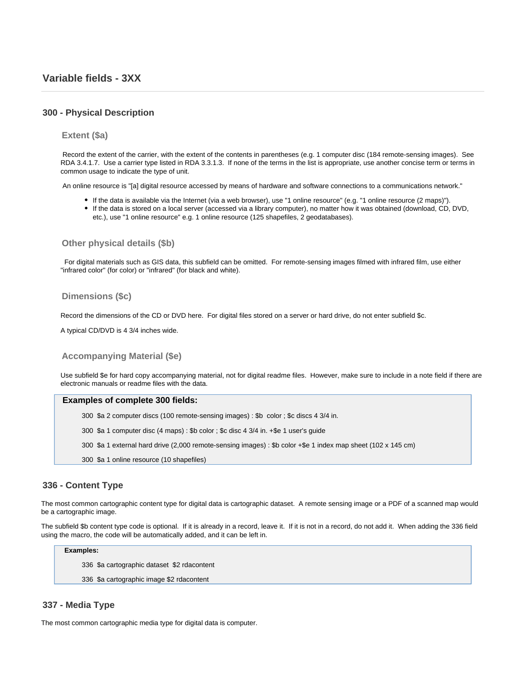## <span id="page-8-1"></span><span id="page-8-0"></span>**300 - Physical Description**

#### **Extent (\$a)**

Record the extent of the carrier, with the extent of the contents in parentheses (e.g. 1 computer disc (184 remote-sensing images). See RDA 3.4.1.7. Use a carrier type listed in RDA 3.3.1.3. If none of the terms in the list is appropriate, use another concise term or terms in common usage to indicate the type of unit.

An online resource is "[a] digital resource accessed by means of hardware and software connections to a communications network."

- If the data is available via the Internet (via a web browser), use "1 online resource" (e.g. "1 online resource (2 maps)").
- If the data is stored on a local server (accessed via a library computer), no matter how it was obtained (download, CD, DVD, etc.), use "1 online resource" e.g. 1 online resource (125 shapefiles, 2 geodatabases).

**Other physical details (\$b)**

For digital materials such as GIS data, this subfield can be omitted. For remote-sensing images filmed with infrared film, use either "infrared color" (for color) or "infrared" (for black and white).

#### **Dimensions (\$c)**

Record the dimensions of the CD or DVD here. For digital files stored on a server or hard drive, do not enter subfield \$c.

A typical CD/DVD is 4 3/4 inches wide.

#### **Accompanying Material (\$e)**

Use subfield \$e for hard copy accompanying material, not for digital readme files. However, make sure to include in a note field if there are electronic manuals or readme files with the data.

#### **Examples of complete 300 fields:**

300 \$a 2 computer discs (100 remote-sensing images) : \$b color ; \$c discs 4 3/4 in.

300 \$a 1 computer disc (4 maps) : \$b color ; \$c disc 4 3/4 in. +\$e 1 user's guide

300 \$a 1 external hard drive (2,000 remote-sensing images) : \$b color +\$e 1 index map sheet (102 x 145 cm)

300 \$a 1 online resource (10 shapefiles)

## <span id="page-8-2"></span>**336 - Content Type**

The most common cartographic content type for digital data is cartographic dataset. A remote sensing image or a PDF of a scanned map would be a cartographic image.

The subfield \$b content type code is optional. If it is already in a record, leave it. If it is not in a record, do not add it. When adding the 336 field using the macro, the code will be automatically added, and it can be left in.

#### **Examples:**

336 \$a cartographic dataset \$2 rdacontent

336 \$a cartographic image \$2 rdacontent

#### <span id="page-8-3"></span>**337 - Media Type**

The most common cartographic media type for digital data is computer.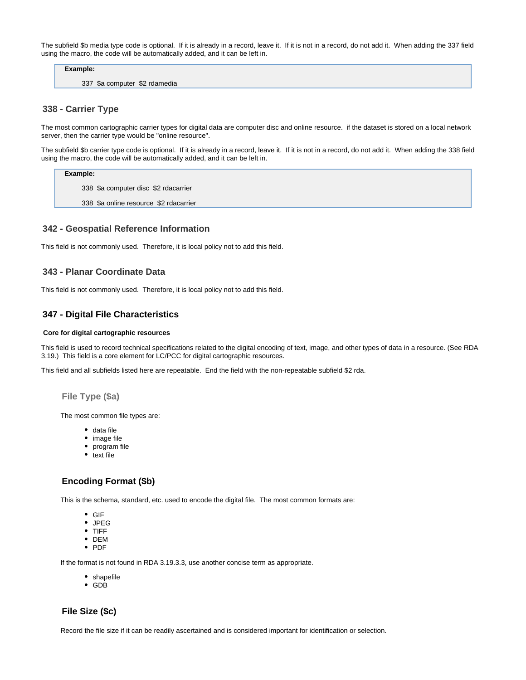The subfield \$b media type code is optional. If it is already in a record, leave it. If it is not in a record, do not add it. When adding the 337 field using the macro, the code will be automatically added, and it can be left in.

**Example:**

337 \$a computer \$2 rdamedia

## <span id="page-9-0"></span>**338 - Carrier Type**

The most common cartographic carrier types for digital data are computer disc and online resource. if the dataset is stored on a local network server, then the carrier type would be "online resource".

The subfield \$b carrier type code is optional. If it is already in a record, leave it. If it is not in a record, do not add it. When adding the 338 field using the macro, the code will be automatically added, and it can be left in.

**Example:**

338 \$a computer disc \$2 rdacarrier

338 \$a online resource \$2 rdacarrier

#### <span id="page-9-1"></span>**342 - Geospatial Reference Information**

This field is not commonly used. Therefore, it is local policy not to add this field.

## <span id="page-9-2"></span>**343 - Planar Coordinate Data**

This field is not commonly used. Therefore, it is local policy not to add this field.

## <span id="page-9-3"></span>**347 - Digital File Characteristics**

#### **Core for digital cartographic resources**

This field is used to record technical specifications related to the digital encoding of text, image, and other types of data in a resource. (See RDA 3.19.) This field is a core element for LC/PCC for digital cartographic resources.

This field and all subfields listed here are repeatable. End the field with the non-repeatable subfield \$2 rda.

**File Type (\$a)**

The most common file types are:

- data file
- image file
- program file
- $\bullet$  text file

## **Encoding Format (\$b)**

This is the schema, standard, etc. used to encode the digital file. The most common formats are:

- GIF
- JPEG
- TIFF
- DEM
- PDF

If the format is not found in RDA 3.19.3.3, use another concise term as appropriate.

- shapefile
- GDB

## **File Size (\$c)**

Record the file size if it can be readily ascertained and is considered important for identification or selection.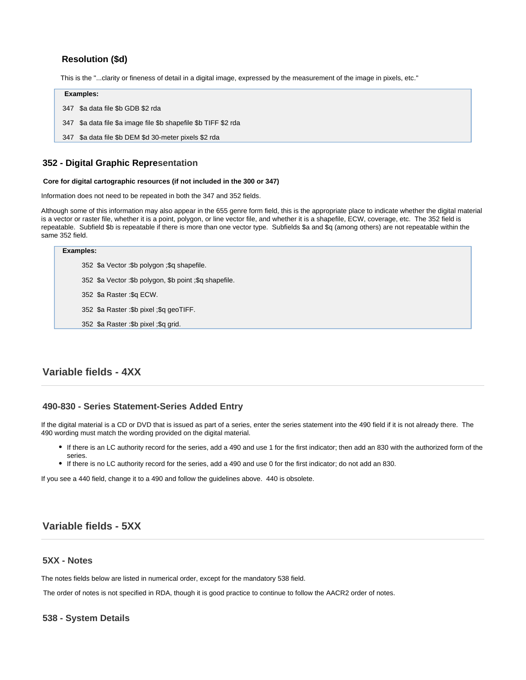# **Resolution (\$d)**

This is the "...clarity or fineness of detail in a digital image, expressed by the measurement of the image in pixels, etc."

#### **Examples:**

- 347 \$a data file \$b GDB \$2 rda
- 347 \$a data file \$a image file \$b shapefile \$b TIFF \$2 rda
- 347 \$a data file \$b DEM \$d 30-meter pixels \$2 rda

## <span id="page-10-0"></span>**352 - Digital Graphic Representation**

#### **Core for digital cartographic resources (if not included in the 300 or 347)**

Information does not need to be repeated in both the 347 and 352 fields.

Although some of this information may also appear in the 655 genre form field, this is the appropriate place to indicate whether the digital material is a vector or raster file, whether it is a point, polygon, or line vector file, and whether it is a shapefile, ECW, coverage, etc. The 352 field is repeatable. Subfield \$b is repeatable if there is more than one vector type. Subfields \$a and \$q (among others) are not repeatable within the same 352 field.

#### **Examples:**

- 352 \$a Vector :\$b polygon ;\$q shapefile.
- 352 \$a Vector :\$b polygon, \$b point ;\$q shapefile.
- 352 \$a Raster :\$q ECW.
- 352 \$a Raster :\$b pixel ;\$q geoTIFF.
- 352 \$a Raster :\$b pixel ;\$q grid.

# <span id="page-10-1"></span>**Variable fields - 4XX**

## <span id="page-10-2"></span>**490-830 - Series Statement-Series Added Entry**

If the digital material is a CD or DVD that is issued as part of a series, enter the series statement into the 490 field if it is not already there. The 490 wording must match the wording provided on the digital material.

- If there is an LC authority record for the series, add a 490 and use 1 for the first indicator; then add an 830 with the authorized form of the series.
- If there is no LC authority record for the series, add a 490 and use 0 for the first indicator; do not add an 830.

If you see a 440 field, change it to a 490 and follow the guidelines above. 440 is obsolete.

# <span id="page-10-3"></span>**Variable fields - 5XX**

#### <span id="page-10-4"></span>**5XX - Notes**

The notes fields below are listed in numerical order, except for the mandatory 538 field.

The order of notes is not specified in RDA, though it is good practice to continue to follow the AACR2 order of notes.

#### <span id="page-10-5"></span>**538 - System Details**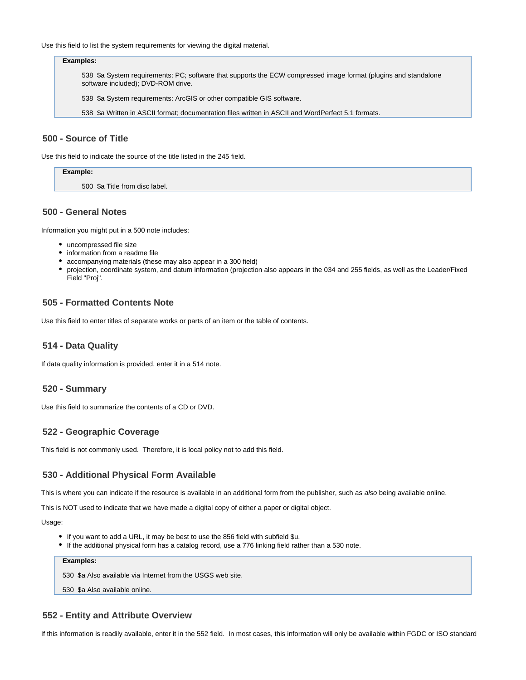Use this field to list the system requirements for viewing the digital material.

#### **Examples:**

538 \$a System requirements: PC; software that supports the ECW compressed image format (plugins and standalone software included); DVD-ROM drive.

538 \$a System requirements: ArcGIS or other compatible GIS software.

538 \$a Written in ASCII format; documentation files written in ASCII and WordPerfect 5.1 formats.

## <span id="page-11-0"></span>**500 - Source of Title**

Use this field to indicate the source of the title listed in the 245 field.

| Example:                       |  |
|--------------------------------|--|
| 500 \$a Title from disc label. |  |

## <span id="page-11-1"></span>**500 - General Notes**

Information you might put in a 500 note includes:

- uncompressed file size
- information from a readme file
- accompanying materials (these may also appear in a 300 field)
- projection, coordinate system, and datum information (projection also appears in the 034 and 255 fields, as well as the Leader/Fixed Field "Proj".

## <span id="page-11-2"></span>**505 - Formatted Contents Note**

Use this field to enter titles of separate works or parts of an item or the table of contents.

#### <span id="page-11-3"></span>**514 - Data Quality**

If data quality information is provided, enter it in a 514 note.

#### <span id="page-11-4"></span>**520 - Summary**

Use this field to summarize the contents of a CD or DVD.

## <span id="page-11-5"></span>**522 - Geographic Coverage**

This field is not commonly used. Therefore, it is local policy not to add this field.

#### <span id="page-11-6"></span>**530 - Additional Physical Form Available**

This is where you can indicate if the resource is available in an additional form from the publisher, such as also being available online.

This is NOT used to indicate that we have made a digital copy of either a paper or digital object.

Usage:

- If you want to add a URL, it may be best to use the 856 field with subfield \$u.
- If the additional physical form has a catalog record, use a 776 linking field rather than a 530 note.

**Examples:**

530 \$a Also available via Internet from the USGS web site.

530 \$a Also available online.

#### <span id="page-11-7"></span>**552 - Entity and Attribute Overview**

If this information is readily available, enter it in the 552 field. In most cases, this information will only be available within FGDC or ISO standard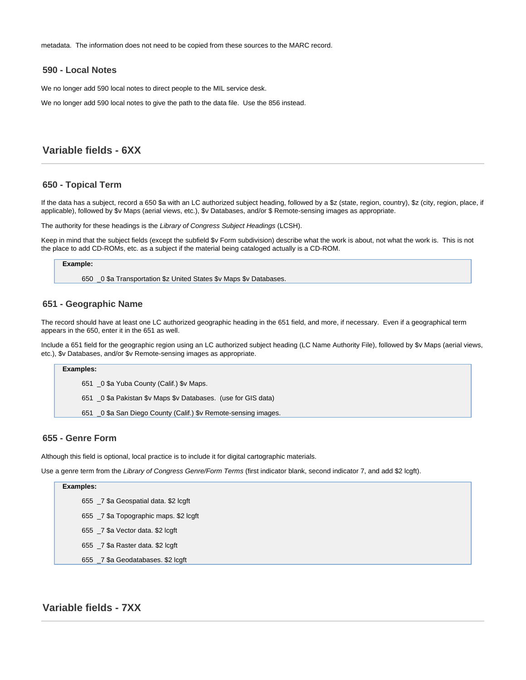metadata. The information does not need to be copied from these sources to the MARC record.

#### <span id="page-12-0"></span>**590 - Local Notes**

We no longer add 590 local notes to direct people to the MIL service desk.

We no longer add 590 local notes to give the path to the data file. Use the 856 instead.

# <span id="page-12-1"></span>**Variable fields - 6XX**

#### <span id="page-12-2"></span>**650 - Topical Term**

If the data has a subject, record a 650 \$a with an LC authorized subject heading, followed by a \$z (state, region, country), \$z (city, region, place, if applicable), followed by \$v Maps (aerial views, etc.), \$v Databases, and/or \$ Remote-sensing images as appropriate.

The authority for these headings is the Library of Congress Subject Headings (LCSH).

Keep in mind that the subject fields (except the subfield \$v Form subdivision) describe what the work is about, not what the work is. This is not the place to add CD-ROMs, etc. as a subject if the material being cataloged actually is a CD-ROM.

#### **Example:**

650 \_0 \$a Transportation \$z United States \$v Maps \$v Databases.

#### <span id="page-12-3"></span>**651 - Geographic Name**

The record should have at least one LC authorized geographic heading in the 651 field, and more, if necessary. Even if a geographical term appears in the 650, enter it in the 651 as well.

Include a 651 field for the geographic region using an LC authorized subject heading (LC Name Authority File), followed by \$v Maps (aerial views, etc.), \$v Databases, and/or \$v Remote-sensing images as appropriate.

#### **Examples:**

651 \_0 \$a Yuba County (Calif.) \$v Maps.

651 \_0 \$a Pakistan \$v Maps \$v Databases. (use for GIS data)

651 \_0 \$a San Diego County (Calif.) \$v Remote-sensing images.

## <span id="page-12-4"></span>**655 - Genre Form**

Although this field is optional, local practice is to include it for digital cartographic materials.

Use a genre term from the Library of Congress Genre/Form Terms (first indicator blank, second indicator 7, and add \$2 lcgft).

#### **Examples:**

655 \_7 \$a Geospatial data. \$2 lcgft

655 \_7 \$a Topographic maps. \$2 lcgft

- 655 \_7 \$a Vector data. \$2 lcgft
- 655 \_7 \$a Raster data. \$2 lcgft
- 655 \_7 \$a Geodatabases. \$2 lcgft

# <span id="page-12-6"></span><span id="page-12-5"></span>**Variable fields - 7XX**